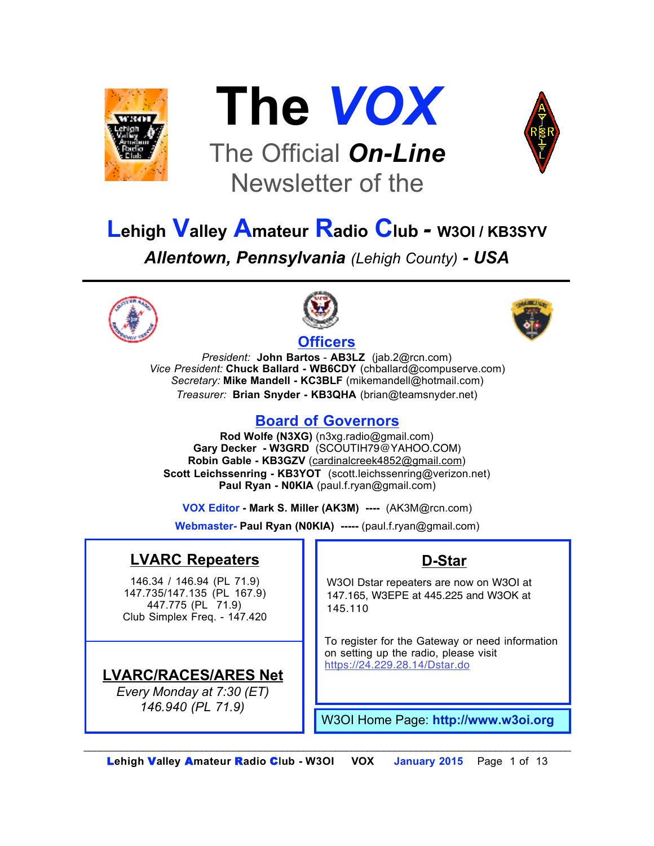



# The Official *On-Line* Newsletter of the



# **Lehigh Valley Amateur Radio Club** *-* **W3OI / KB3SYV** *Allentown, Pennsylvania (Lehigh County) - USA*





#### **Officers**



*President:* **John Bartos** - **AB3LZ** (jab.2@rcn.com) *Vice President:* **Chuck Ballard - WB6CDY** (chballard@compuserve.com) *Secretary:* **Mike Mandell - KC3BLF** (mikemandell@hotmail.com) *Treasurer:* **Brian Snyder - KB3QHA** (brian@teamsnyder.net)

#### **Board of Governors**

**Rod Wolfe (N3XG)** (n3xg.radio@gmail.com) **Gary Decker - W3GRD** (SCOUTIH79@YAHOO.COM) **Robin Gable - KB3GZV** (cardinalcreek4852@gmail.com) **Scott Leichssenring - KB3YOT** (scott.leichssenring@verizon.net) **Paul Ryan - N0KIA** (paul.f.ryan@gmail.com)

**VOX Editor - Mark S. Miller (AK3M) ----** (AK3M@rcn.com)

**Webmaster- Paul Ryan (N0KIA) -----** (paul.f.ryan@gmail.com)

### **LVARC Repeaters**

146.34 / 146.94 (PL 71.9) 147.735/147.135 (PL 167.9) 447.775 (PL 71.9) Club Simplex Freq. - 147.420

### **LVARC/RACES/ARES Net**

*Every Monday at 7:30 (ET) 146.940 (PL 71.9)*

### **D-Star**

W3OI Dstar repeaters are now on W3OI at 147.165, W3EPE at 445.225 and W3OK at 145.110

To register for the Gateway or need information on setting up the radio, please visit https://24.229.28.14/Dstar.do

W3OI Home Page: **http://www.w3oi.org**

*\_\_\_\_\_\_\_\_\_\_\_\_\_\_\_\_\_\_\_\_\_\_\_\_\_\_\_\_\_\_\_\_\_\_\_\_\_\_\_\_\_\_\_\_\_\_\_\_\_\_\_\_\_\_\_\_\_\_\_\_\_\_\_\_\_\_\_\_\_\_\_\_\_\_\_\_\_\_\_\_\_\_\_\_\_\_\_\_\_\_\_*  L**ehigh** V**alley** A**mateur** R**adio** C**lub - W3OI VOX January 2015** Page 1 of 13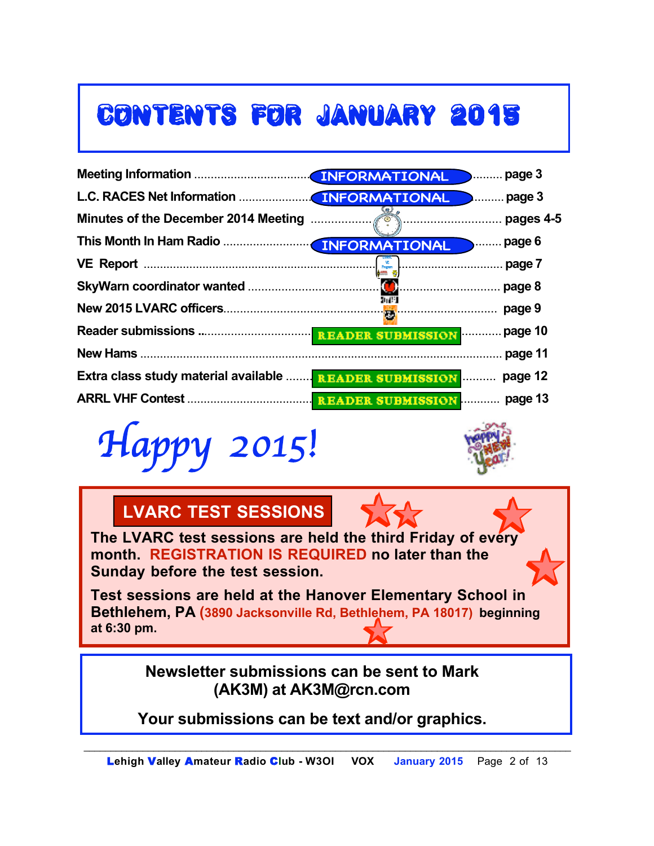# CONTENTS FOR JANUARY 2015

|                                                                        |      | page 3 |
|------------------------------------------------------------------------|------|--------|
|                                                                        |      |        |
|                                                                        |      |        |
|                                                                        |      | page 6 |
|                                                                        |      | page 7 |
|                                                                        |      | page 8 |
|                                                                        | b C1 | page 9 |
|                                                                        |      |        |
|                                                                        |      |        |
| <b>Extra class study material available  READER SUBMISSION</b> page 12 |      |        |
|                                                                        |      |        |

*Happy 2015!*



 $\overline{\phantom{a}}$ VE Program

## **LVARC TEST SESSIONS**

**The LVARC test sessions are held the third Friday of every month. REGISTRATION IS REQUIRED no later than the Sunday before the test session.**

**Test sessions are held at the Hanover Elementary School in Bethlehem, PA (3890 Jacksonville Rd, Bethlehem, PA 18017) beginning at 6:30 pm.**

> **Newsletter submissions can be sent to Mark (AK3M) at AK3M@rcn.com**

**Your submissions can be text and/or graphics.**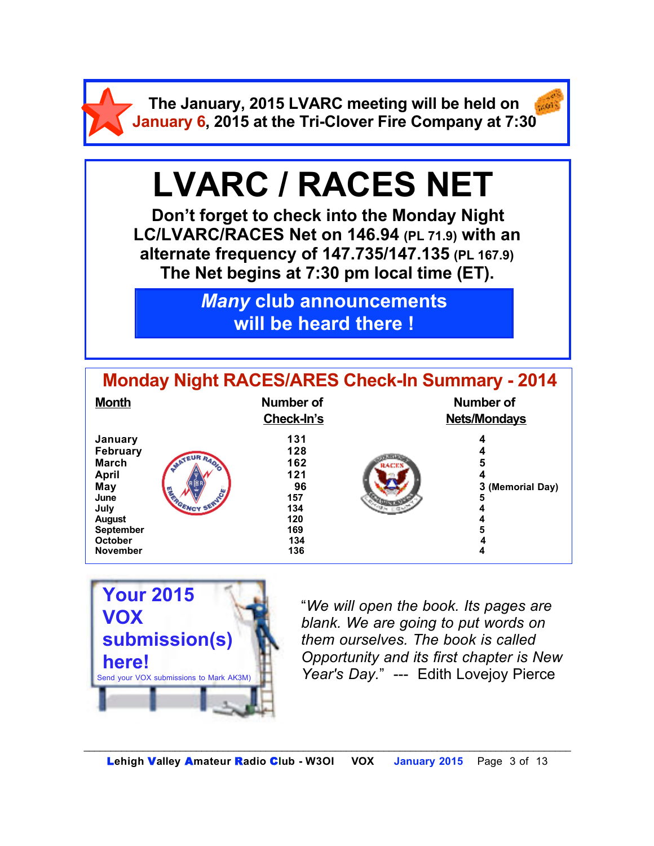**The January, 2015 LVARC meeting will be held on January 6, 2015 at the Tri-Clover Fire Company at 7:30**

# **LVARC / RACES NET**

**Don't forget to check into the Monday Night LC/LVARC/RACES Net on 146.94 (PL 71.9) with an alternate frequency of 147.735/147.135 (PL 167.9) The Net begins at 7:30 pm local time (ET).** 

> *Many* **club announcements will be heard there !**

| <b>Monday Night RACES/ARES Check-In Summary - 2014</b>                                                                                 |               |                                                                          |              |                                  |  |  |
|----------------------------------------------------------------------------------------------------------------------------------------|---------------|--------------------------------------------------------------------------|--------------|----------------------------------|--|--|
| <b>Month</b>                                                                                                                           |               | <b>Number of</b><br>Check-In's                                           |              | Number of<br><b>Nets/Mondays</b> |  |  |
| January<br>February<br><b>March</b><br><b>April</b><br>May<br>June<br>July<br><b>August</b><br>September<br>October<br><b>November</b> | <b>SERVEY</b> | 131<br>128<br>162<br>121<br>96<br>157<br>134<br>120<br>169<br>134<br>136 | <b>RACKS</b> | 4<br>5<br>3 (Memorial Day)<br>5  |  |  |



"*We will open the book. Its pages are blank. We are going to put words on them ourselves. The book is called Opportunity and its first chapter is New Year's Day.*" --- Edith Lovejoy Pierce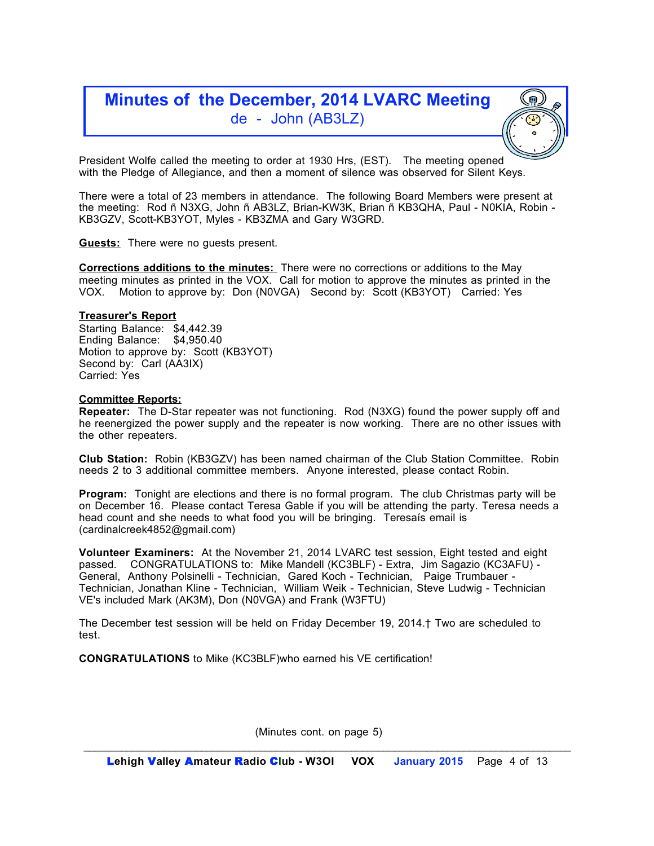### **Minutes of the December, 2014 LVARC Meeting** de - John (AB3LZ)

President Wolfe called the meeting to order at 1930 Hrs, (EST). The meeting opened with the Pledge of Allegiance, and then a moment of silence was observed for Silent Keys.

There were a total of 23 members in attendance. The following Board Members were present at the meeting: Rod ñ N3XG, John ñ AB3LZ, Brian-KW3K, Brian ñ KB3QHA, Paul - N0KIA, Robin - KB3GZV, Scott-KB3YOT, Myles - KB3ZMA and Gary W3GRD.

**Guests:** There were no guests present.

**Corrections additions to the minutes:** There were no corrections or additions to the May meeting minutes as printed in the VOX. Call for motion to approve the minutes as printed in the VOX. Motion to approve by: Don (N0VGA) Second by: Scott (KB3YOT) Carried: Yes

#### **Treasurer's Report**

Starting Balance: \$4,442.39 Ending Balance: \$4,950.40 Motion to approve by: Scott (KB3YOT) Second by: Carl (AA3IX) Carried: Yes

#### **Committee Reports:**

**Repeater:** The D-Star repeater was not functioning. Rod (N3XG) found the power supply off and he reenergized the power supply and the repeater is now working. There are no other issues with the other repeaters.

**Club Station:** Robin (KB3GZV) has been named chairman of the Club Station Committee. Robin needs 2 to 3 additional committee members. Anyone interested, please contact Robin.

**Program:** Tonight are elections and there is no formal program. The club Christmas party will be on December 16. Please contact Teresa Gable if you will be attending the party. Teresa needs a head count and she needs to what food you will be bringing. Teresaís email is (cardinalcreek4852@gmail.com)

**Volunteer Examiners:** At the November 21, 2014 LVARC test session, Eight tested and eight passed. CONGRATULATIONS to: Mike Mandell (KC3BLF) - Extra, Jim Sagazio (KC3AFU) - General, Anthony Polsinelli - Technician, Gared Koch - Technician, Paige Trumbauer - Technician, Jonathan Kline - Technician, William Weik - Technician, Steve Ludwig - Technician VE's included Mark (AK3M), Don (N0VGA) and Frank (W3FTU)

The December test session will be held on Friday December 19, 2014.† Two are scheduled to test.

**CONGRATULATIONS** to Mike (KC3BLF)who earned his VE certification!

(Minutes cont. on page 5)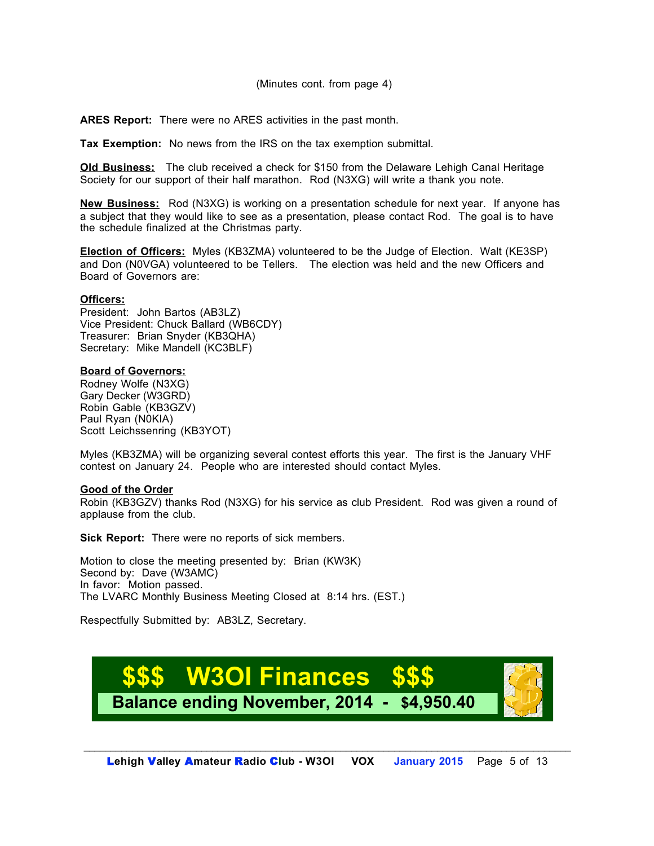**ARES Report:** There were no ARES activities in the past month.

**Tax Exemption:** No news from the IRS on the tax exemption submittal.

**Old Business:** The club received a check for \$150 from the Delaware Lehigh Canal Heritage Society for our support of their half marathon. Rod (N3XG) will write a thank you note.

**New Business:** Rod (N3XG) is working on a presentation schedule for next year. If anyone has a subject that they would like to see as a presentation, please contact Rod. The goal is to have the schedule finalized at the Christmas party.

**Election of Officers:** Myles (KB3ZMA) volunteered to be the Judge of Election. Walt (KE3SP) and Don (N0VGA) volunteered to be Tellers. The election was held and the new Officers and Board of Governors are:

#### **Officers:**

President: John Bartos (AB3LZ) Vice President: Chuck Ballard (WB6CDY) Treasurer: Brian Snyder (KB3QHA) Secretary: Mike Mandell (KC3BLF)

#### **Board of Governors:**

Rodney Wolfe (N3XG) Gary Decker (W3GRD) Robin Gable (KB3GZV) Paul Ryan (N0KIA) Scott Leichssenring (KB3YOT)

Myles (KB3ZMA) will be organizing several contest efforts this year. The first is the January VHF contest on January 24. People who are interested should contact Myles.

#### **Good of the Order**

Robin (KB3GZV) thanks Rod (N3XG) for his service as club President. Rod was given a round of applause from the club.

**Sick Report:** There were no reports of sick members.

Motion to close the meeting presented by: Brian (KW3K) Second by: Dave (W3AMC) In favor: Motion passed. The LVARC Monthly Business Meeting Closed at 8:14 hrs. (EST.)

Respectfully Submitted by: AB3LZ, Secretary.

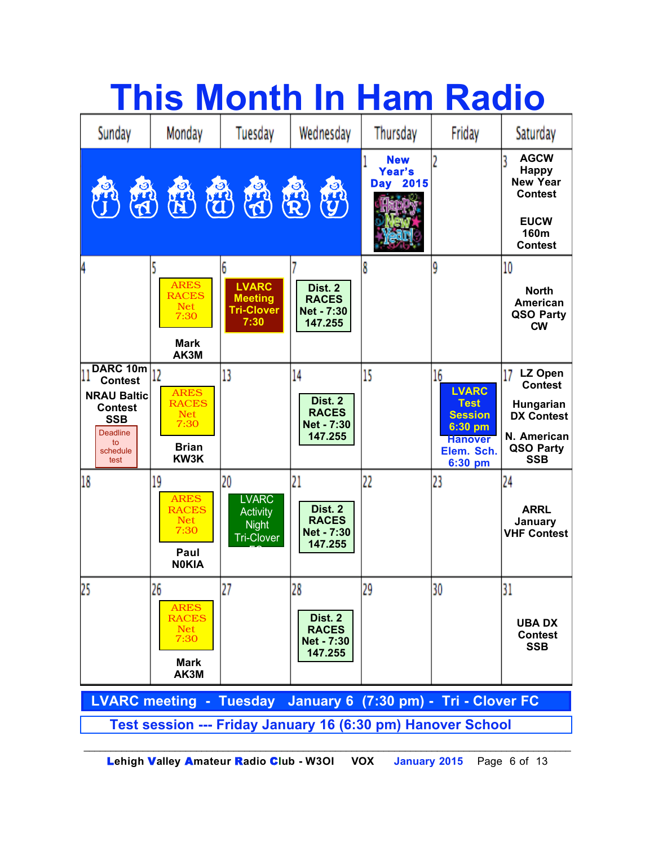|                                                                                                                                     |                                                                                 |                                                                            | <b>This Month In Ham Radio</b>                                |                                  |                                                                                                           |                                                                                                             |  |
|-------------------------------------------------------------------------------------------------------------------------------------|---------------------------------------------------------------------------------|----------------------------------------------------------------------------|---------------------------------------------------------------|----------------------------------|-----------------------------------------------------------------------------------------------------------|-------------------------------------------------------------------------------------------------------------|--|
| Sunday                                                                                                                              | Monday                                                                          | Tuesday                                                                    | Wednesday                                                     | Thursday                         | Friday                                                                                                    | Saturday                                                                                                    |  |
| <b>RAD</b>                                                                                                                          |                                                                                 | 需要的                                                                        | R<br>心                                                        | <b>New</b><br>Year's<br>Day 2015 |                                                                                                           | <b>AGCW</b><br><b>Happy</b><br><b>New Year</b><br><b>Contest</b><br><b>EUCW</b><br>160m<br><b>Contest</b>   |  |
| 4                                                                                                                                   | <b>ARES</b><br><b>RACES</b><br><b>Net</b><br>7:30<br><b>Mark</b><br>AK3M        | 6<br><b>LVARC</b><br><b>Meeting</b><br><b>Tri-Clover</b><br>7:30           | Dist. 2<br><b>RACES</b><br><b>Net - 7:30</b><br>147.255       |                                  | ۹                                                                                                         | 10<br><b>North</b><br><b>American</b><br>QSO Party<br><b>CW</b>                                             |  |
| DARC 10m<br>11<br><b>Contest</b><br><b>NRAU Baltic</b><br><b>Contest</b><br><b>SSB</b><br><b>Deadline</b><br>to<br>schedule<br>test | 12<br><b>ARES</b><br><b>RACES</b><br><b>Net</b><br>7:30<br><b>Brian</b><br>KW3K | 13                                                                         | 14<br>Dist. 2<br><b>RACES</b><br>Net - 7:30<br>147.255        | 15                               | 16<br><b>LVARC</b><br><b>Test</b><br><b>Session</b><br>6:30 pm<br><b>Hanover</b><br>Elem. Sch.<br>6:30 pm | LZ Open<br>17<br><b>Contest</b><br>Hungarian<br><b>DX Contest</b><br>N. American<br>QSO Party<br><b>SSB</b> |  |
| 18                                                                                                                                  | 19<br><b>ARES</b><br><b>RACES</b><br><b>Net</b><br>7:30<br>Paul<br><b>NOKIA</b> | 20<br><b>LVARC</b><br><b>Activity</b><br><b>Night</b><br><b>Tri-Clover</b> | 21<br>Dist. 2<br><b>RACES</b><br>Net - 7:30<br>147.255        | 22                               | 23                                                                                                        | 24<br><b>ARRL</b><br>January<br><b>VHF Contest</b>                                                          |  |
| 25                                                                                                                                  | 26<br><b>ARES</b><br><b>RACES</b><br><b>Net</b><br>7:30<br><b>Mark</b><br>AK3M  | 27                                                                         | 28<br>Dist. 2<br><b>RACES</b><br><b>Net - 7:30</b><br>147.255 | 29                               | 30                                                                                                        | 31<br><b>UBADX</b><br><b>Contest</b><br><b>SSB</b>                                                          |  |
| LVARC meeting - Tuesday January 6 (7:30 pm) - Tri - Clover FC                                                                       |                                                                                 |                                                                            |                                                               |                                  |                                                                                                           |                                                                                                             |  |
| Test session --- Friday January 16 (6:30 pm) Hanover School                                                                         |                                                                                 |                                                                            |                                                               |                                  |                                                                                                           |                                                                                                             |  |

L**ehigh** V**alley** A**mateur** R**adio** C**lub - W3OI VOX January 2015** Page 6 of 13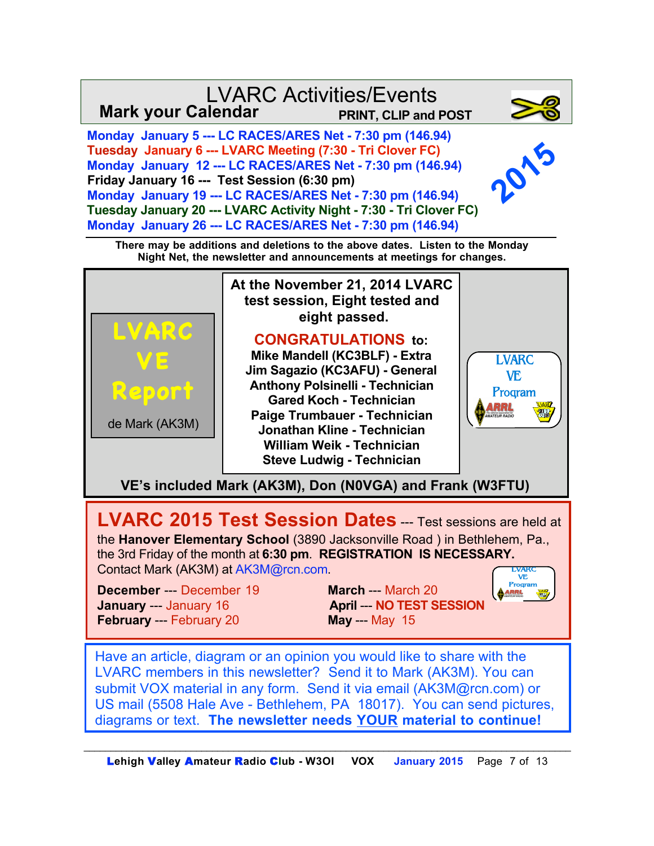



**LVARC 2015 Test Session Dates** -- Test sessions are held at the **Hanover Elementary School** (3890 Jacksonville Road ) in Bethlehem, Pa., the 3rd Friday of the month at **6:30 pm**. **REGISTRATION IS NECESSARY.**  Contact Mark (AK3M) at AK3M@rcn.com. LVARC

**December** --- December 19 **March --- March 20 January** --- January 16 **April --- NO TEST SESSION February** --- February 20 **May** --- May 15



Have an article, diagram or an opinion you would like to share with the LVARC members in this newsletter? Send it to Mark (AK3M). You can submit VOX material in any form. Send it via email (AK3M@rcn.com) or US mail (5508 Hale Ave - Bethlehem, PA 18017). You can send pictures, diagrams or text. **The newsletter needs YOUR material to continue!**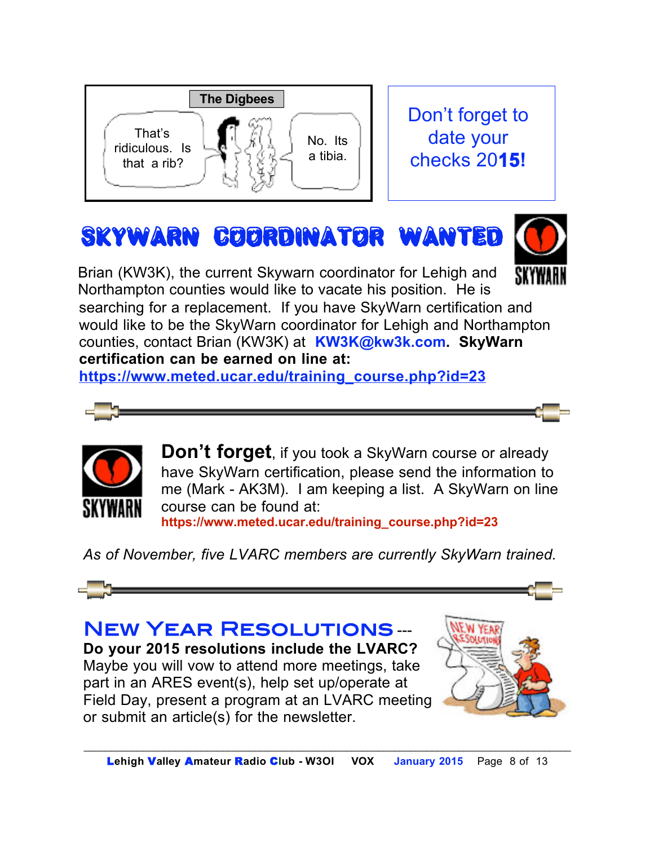

# SkyWarn coordinator wanted



 counties, contact Brian (KW3K) at **KW3K@kw3k.com. SkyWarn**  Brian (KW3K), the current Skywarn coordinator for Lehigh and Northampton counties would like to vacate his position. He is searching for a replacement. If you have SkyWarn certification and would like to be the SkyWarn coordinator for Lehigh and Northampton **certification can be earned on line at:** 

**https://www.meted.ucar.edu/training\_course.php?id=23**





**Don't forget**, if you took a SkyWarn course or already have SkyWarn certification, please send the information to me (Mark - AK3M). I am keeping a list. A SkyWarn on line course can be found at: **https://www.meted.ucar.edu/training\_course.php?id=23**

*As of November, five LVARC members are currently SkyWarn trained.*



New Year Resolutions --- **Do your 2015 resolutions include the LVARC?**  Maybe you will vow to attend more meetings, take part in an ARES event(s), help set up/operate at Field Day, present a program at an LVARC meeting or submit an article(s) for the newsletter.

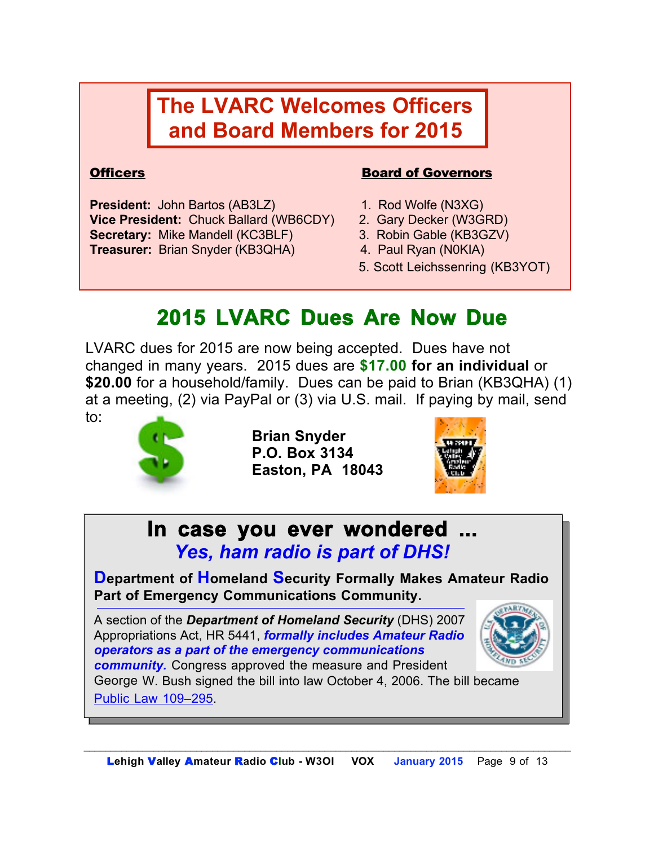# **The LVARC Welcomes Officers and Board Members for 2015**

**President:** John Bartos (AB3LZ) 1. Rod Wolfe (N3XG) **Vice President:** Chuck Ballard (WB6CDY) 2. Gary Decker (W3GRD) **Secretary:** Mike Mandell (KC3BLF) 3. Robin Gable (KB3GZV) **Treasurer:** Brian Snyder (KB3QHA) 4. Paul Ryan (N0KIA)

### **Officers Board of Governors**

- 
- 
- 
- 
- 5. Scott Leichssenring (KB3YOT)

# **2015 LVARC Dues Are Now Due**

LVARC dues for 2015 are now being accepted. Dues have not changed in many years. 2015 dues are **\$17.00 for an individual** or **\$20.00** for a household/family. Dues can be paid to Brian (KB3QHA) (1) at a meeting, (2) via PayPal or (3) via U.S. mail. If paying by mail, send to:



**Brian Snyder P.O. Box 3134 Easton, PA 18043**



**In case you ever wondered ...** *Yes, ham radio is part of DHS!*

**Department of Homeland Security Formally Makes Amateur Radio Part of Emergency Communications Community.**

A section of the *Department of Homeland Security* (DHS) 2007 Appropriations Act, HR 5441, *formally includes Amateur Radio operators as a part of the emergency communications community.* Congress approved the measure and President George W. Bush signed the bill into law October 4, 2006. The bill became Public Law 109–295.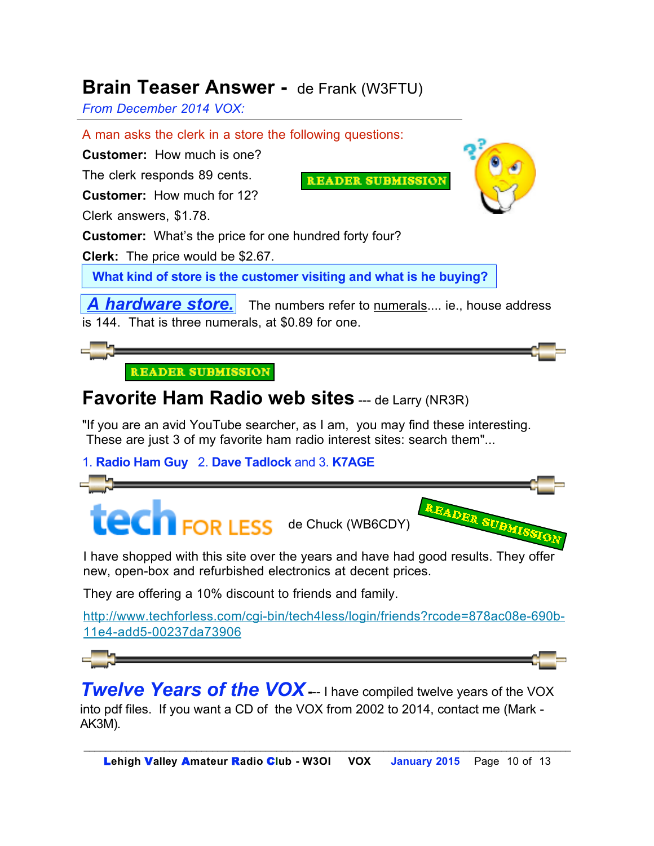## **Brain Teaser Answer -** de Frank (W3FTU)

*From December 2014 VOX:* 

A man asks the clerk in a store the following questions:

**Customer:** How much is one?

The clerk responds 89 cents. **Customer:** How much for 12?

**AEADER SUEMISSION** 



Clerk answers, \$1.78.

**Customer:** What's the price for one hundred forty four?

**Clerk:** The price would be \$2.67.

 **What kind of store is the customer visiting and what is he buying?** 

A hardware store. The numbers refer to numerals.... ie., house address is 144. That is three numerals, at \$0.89 for one.



# **Favorite Ham Radio web sites** --- de Larry (NR3R)

"If you are an avid YouTube searcher, as I am, you may find these interesting. These are just 3 of my favorite ham radio interest sites: search them"...

1. **Radio Ham Guy** 2. **Dave Tadlock** and 3. **K7AGE**



I have shopped with this site over the years and have had good results. They offer new, open-box and refurbished electronics at decent prices.

They are offering a 10% discount to friends and family.

http://www.techforless.com/cgi-bin/tech4less/login/friends?rcode=878ac08e-690b-11e4-add5-00237da73906

**Twelve Years of the VOX** --- I have compiled twelve years of the VOX into pdf files. If you want a CD of the VOX from 2002 to 2014, contact me (Mark - AK3M).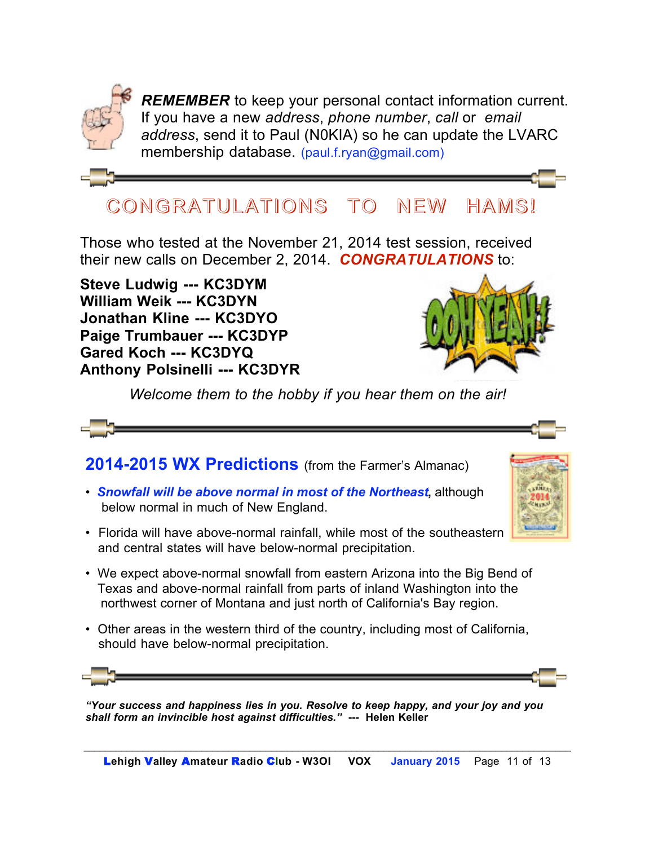

*REMEMBER* to keep your personal contact information current. If you have a new *address*, *phone number*, *call* or *email address*, send it to Paul (N0KIA) so he can update the LVARC membership database. (paul.f.ryan@gmail.com)

# CONGRATULATIONS CONGRATULATIONS TO NEW HAMS!

Those who tested at the November 21, 2014 test session, received their new calls on December 2, 2014.*CONGRATULATIONS* to:

**Steve Ludwig --- KC3DYM William Weik --- KC3DYN Jonathan Kline --- KC3DYO Paige Trumbauer --- KC3DYP Gared Koch --- KC3DYQ Anthony Polsinelli --- KC3DYR**



*Welcome them to the hobby if you hear them on the air!*



2014-2015 WX Predictions (from the Farmer's Almanac)

- *Snowfall will be above normal in most of the Northeast***,** although below normal in much of New England.
- Florida will have above-normal rainfall, while most of the southeastern and central states will have below-normal precipitation.
- We expect above-normal snowfall from eastern Arizona into the Big Bend of Texas and above-normal rainfall from parts of inland Washington into the northwest corner of Montana and just north of California's Bay region.
- Other areas in the western third of the country, including most of California, should have below-normal precipitation.



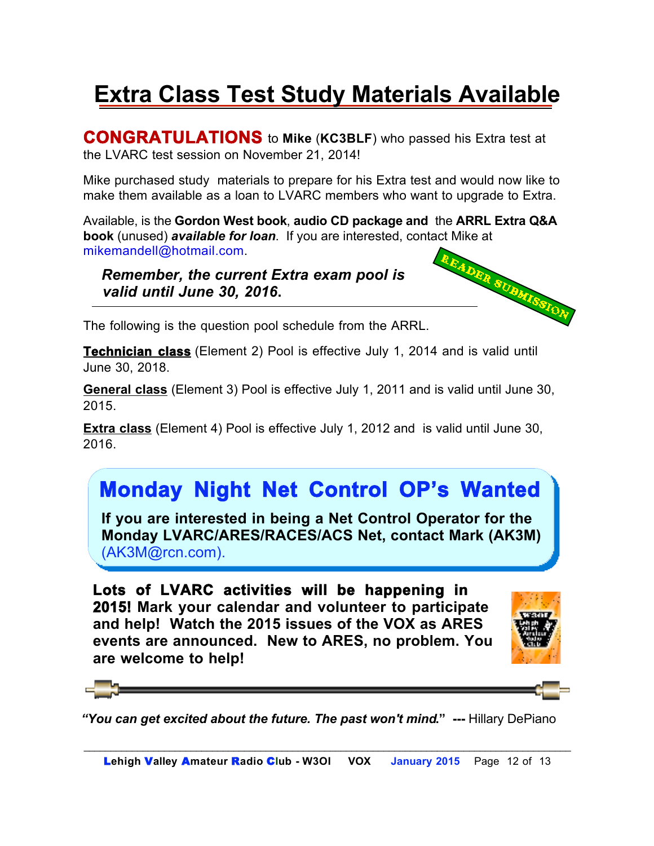# **Extra Class Test Study Materials Available**

**CONGRATULATIONS** to **Mike** (**KC3BLF**) who passed his Extra test at the LVARC test session on November 21, 2014!

Mike purchased study materials to prepare for his Extra test and would now like to make them available as a loan to LVARC members who want to upgrade to Extra.

Available, is the **Gordon West book**, **audio CD package and** the **ARRL Extra Q&A book** (unused) *available for loan*. If you are interested, contact Mike at mikemandell@hotmail.com.<br>
The current Extra exam pool is<br>
The current of the current of the current of the contact Mike at the surface of the con mikemandell@hotmail.com.

 *Remember, the current Extra exam pool is valid until June 30, 2016***.** 



The following is the question pool schedule from the ARRL.

**Technician class** (Element 2) Pool is effective July 1, 2014 and is valid until June 30, 2018.

**General class** (Element 3) Pool is effective July 1, 2011 and is valid until June 30, 2015.

**Extra class** (Element 4) Pool is effective July 1, 2012 and is valid until June 30, 2016.

# **Monday Night Net Control OP's Wanted**

**If you are interested in being a Net Control Operator for the Monday LVARC/ARES/RACES/ACS Net, contact Mark (AK3M)**  (AK3M@rcn.com).

**Lots of LVARC activities will be happening in 2015! Mark your calendar and volunteer to participate and help! Watch the 2015 issues of the VOX as ARES events are announced. New to ARES, no problem. You are welcome to help!**





*"You can get excited about the future. The past won't mind***." ---** Hillary DePiano